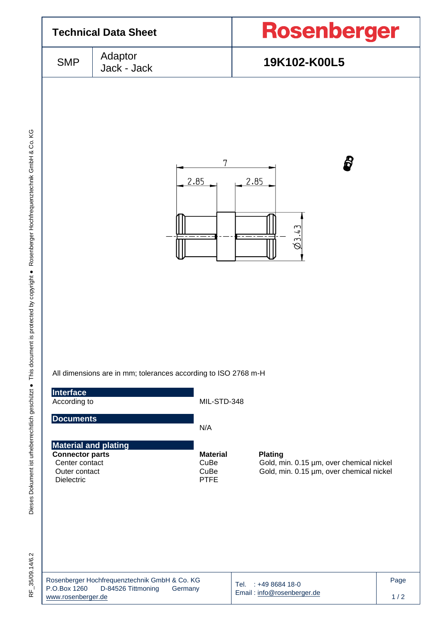| <b>Technical Data Sheet</b>                                                                                                                                    |                                                                                |                                                                                   | <b>Rosenberger</b>                                                                                                                      |             |  |  |  |
|----------------------------------------------------------------------------------------------------------------------------------------------------------------|--------------------------------------------------------------------------------|-----------------------------------------------------------------------------------|-----------------------------------------------------------------------------------------------------------------------------------------|-------------|--|--|--|
| <b>SMP</b>                                                                                                                                                     | Adaptor<br>19K102-K00L5<br>Jack - Jack                                         |                                                                                   |                                                                                                                                         |             |  |  |  |
| <b>Interface</b><br>According to<br><b>Documents</b><br><b>Material and plating</b><br><b>Connector parts</b><br>Center contact<br>Outer contact<br>Dielectric | All dimensions are in mm; tolerances according to ISO 2768 m-H                 | 7<br>2.85<br>MIL-STD-348<br>N/A<br><b>Material</b><br>CuBe<br>CuBe<br><b>PTFE</b> | ₿<br>2.85<br>$\emptyset$ 3.43<br><b>Plating</b><br>Gold, min. 0.15 µm, over chemical nickel<br>Gold, min. 0.15 µm, over chemical nickel |             |  |  |  |
| P.O.Box 1260<br>www.rosenberger.de                                                                                                                             | Rosenberger Hochfrequenztechnik GmbH & Co. KG<br>D-84526 Tittmoning<br>Germany |                                                                                   | Tel. : +49 8684 18-0<br>Email: info@rosenberger.de                                                                                      | Page<br>1/2 |  |  |  |

RF\_35/09.14/6.2